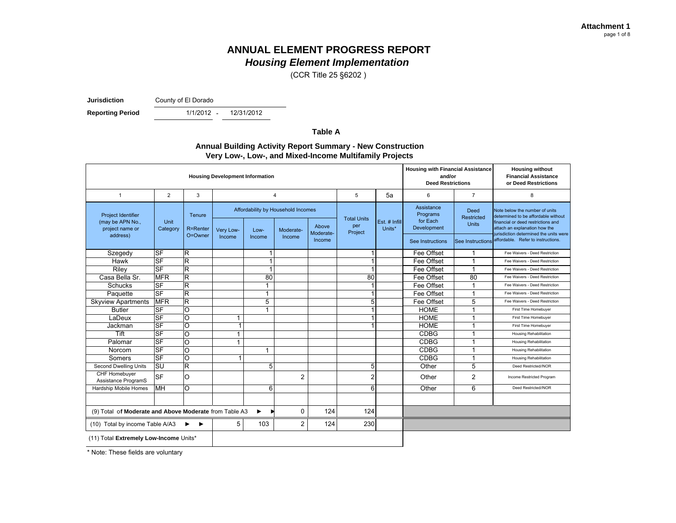(CCR Title 25 §6202 )

**Jurisdiction**

County of El Dorado

**Reporting Period** 

- 12/31/2012

**Table A**

#### **Annual Building Activity Report Summary - New Construction Very Low-, Low-, and Mixed-Income Multifamily Projects**

| <b>Housing Development Information</b>                 |                |                         |           |              |                |                                    |                |               |                                    | <b>Housing with Financial Assistance</b><br><b>Housing without</b><br><b>Financial Assistance</b><br>and/or<br><b>Deed Restrictions</b><br>or Deed Restrictions |                                                                                                             |
|--------------------------------------------------------|----------------|-------------------------|-----------|--------------|----------------|------------------------------------|----------------|---------------|------------------------------------|-----------------------------------------------------------------------------------------------------------------------------------------------------------------|-------------------------------------------------------------------------------------------------------------|
| $\mathbf{1}$                                           | $\overline{2}$ | 3                       |           |              | 4              |                                    | 5              | 5a            | 6                                  | $\overline{7}$                                                                                                                                                  | 8                                                                                                           |
| <b>Project Identifier</b><br>(may be APN No.,          | Unit           | Tenure                  |           |              |                | Affordability by Household Incomes |                | Est. # Infill | Assistance<br>Programs<br>for Each | Deed<br>Restricted                                                                                                                                              | Note below the number of units<br>determined to be affordable without<br>financial or deed restrictions and |
| project name or                                        | Category       | R=Renter                | Very Low- | Low-         | Moderate-      | Above                              | per<br>Project | Units*        | Development                        | <b>Units</b>                                                                                                                                                    | attach an explanation how the                                                                               |
| address)                                               |                | O=Owner                 | Income    | Income       | Income         | Moderate-<br>Income                |                |               | See Instructions                   | See Instructions                                                                                                                                                | jurisdiction determined the units were<br>affordable. Refer to instructions.                                |
| Szegedy                                                | $S$ F          | $\overline{\mathsf{R}}$ |           | 1            |                |                                    |                |               | Fee Offset                         | $\overline{\mathbf{1}}$                                                                                                                                         | Fee Waivers - Deed Restriction                                                                              |
| Hawk                                                   | $S$ F          | $\overline{\mathsf{R}}$ |           | $\mathbf{1}$ |                |                                    |                |               | Fee Offset                         | $\overline{\mathbf{1}}$                                                                                                                                         | Fee Waivers - Deed Restriction                                                                              |
| Riley                                                  | <b>SF</b>      | $\overline{\mathsf{R}}$ |           | $\mathbf{1}$ |                |                                    |                |               | Fee Offset                         | $\overline{1}$                                                                                                                                                  | Fee Waivers - Deed Restriction                                                                              |
| Casa Bella Sr.                                         | <b>MFR</b>     | $\overline{\mathsf{R}}$ |           | 80           |                |                                    | 80             |               | Fee Offset                         | 80                                                                                                                                                              | Fee Waivers - Deed Restriction                                                                              |
| Schucks                                                | $S$ F          | R                       |           | 1            |                |                                    |                |               | Fee Offset                         | $\overline{1}$                                                                                                                                                  | Fee Waivers - Deed Restriction                                                                              |
| Paquette                                               | <b>SF</b>      | $\overline{R}$          |           | 1            |                |                                    |                |               | Fee Offset                         | $\overline{1}$                                                                                                                                                  | Fee Waivers - Deed Restriction                                                                              |
| <b>Skyview Apartments</b>                              | <b>MFR</b>     | R                       |           | 5            |                |                                    | 5              |               | Fee Offset                         | 5                                                                                                                                                               | Fee Waivers - Deed Restriction                                                                              |
| <b>Butler</b>                                          | <b>SF</b>      | O                       |           | 1            |                |                                    | 1              |               | <b>HOME</b>                        | $\overline{1}$                                                                                                                                                  | First Time Homebuyer                                                                                        |
| LaDeux                                                 | $S$ F          | O                       | 1         |              |                |                                    |                |               | <b>HOME</b>                        | $\overline{1}$                                                                                                                                                  | First Time Homebuyer                                                                                        |
| Jackman                                                | <b>SF</b>      | $\overline{\circ}$      | 1         |              |                |                                    |                |               | <b>HOME</b>                        | $\overline{\mathbf{1}}$                                                                                                                                         | First Time Homebuyer                                                                                        |
| Tift                                                   | $S$ F          | O                       | 1         |              |                |                                    |                |               | <b>CDBG</b>                        | $\overline{\mathbf{1}}$                                                                                                                                         | <b>Housing Rehabilitation</b>                                                                               |
| Palomar                                                | <b>SF</b>      | O                       | 1         |              |                |                                    |                |               | <b>CDBG</b>                        | $\overline{\mathbf{1}}$                                                                                                                                         | <b>Housing Rehabilitation</b>                                                                               |
| Norcom                                                 | <b>SF</b>      | $\circ$                 |           | 1            |                |                                    |                |               | <b>CDBG</b>                        | $\overline{1}$                                                                                                                                                  | Housing Rehabilitation                                                                                      |
| Somers                                                 | <b>SF</b>      | O                       | 1         |              |                |                                    |                |               | <b>CDBG</b>                        | $\overline{\mathbf{1}}$                                                                                                                                         | Housing Rehabilitation                                                                                      |
| Second Dwelling Units                                  | <b>SU</b>      | $\overline{\mathsf{R}}$ |           | 5            |                |                                    | 5              |               | Other                              | 5                                                                                                                                                               | Deed Restricted//NOR                                                                                        |
| CHF Homebuyer<br>Assistance ProgramS                   | <b>SF</b>      | O                       |           |              | $\overline{2}$ |                                    | $\overline{2}$ |               | Other                              | $\overline{2}$                                                                                                                                                  | Income Restricted Program                                                                                   |
| Hardship Mobile Homes                                  | MH             | O                       |           | 6            |                |                                    | 6              |               | Other                              | 6                                                                                                                                                               | Deed Restricted//NOR                                                                                        |
|                                                        |                |                         |           |              |                |                                    |                |               |                                    |                                                                                                                                                                 |                                                                                                             |
| (9) Total of Moderate and Above Moderate from Table A3 |                | ▶                       | 0         | 124          | 124            |                                    |                |               |                                    |                                                                                                                                                                 |                                                                                                             |
| (10) Total by income Table A/A3                        | 5              | 103                     | 2         | 124          | 230            |                                    |                |               |                                    |                                                                                                                                                                 |                                                                                                             |
| (11) Total Extremely Low-Income Units*                 |                |                         |           |              |                |                                    |                |               |                                    |                                                                                                                                                                 |                                                                                                             |

\* Note: These fields are voluntary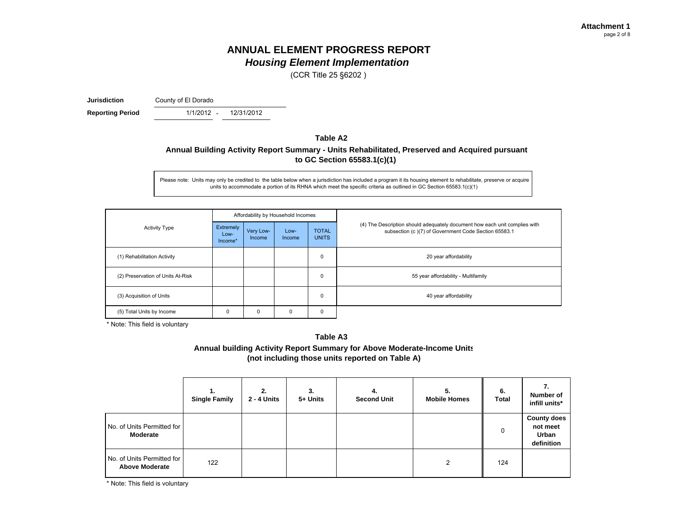(CCR Title 25 §6202 )

**Jurisdiction**

County of El Dorado

**Reporting Period** 1/1/2012 - 12/31/2012

### **Table A2Annual Building Activity Report Summary - Units Rehabilitated, Preserved and Acquired pursuant to GC Section 65583.1(c)(1)**

Please note: Units may only be credited to the table below when a jurisdiction has included a program it its housing element to rehabilitate, preserve or acquire units to accommodate a portion of its RHNA which meet the specific criteria as outlined in GC Section 65583.1(c)(1)

|                                   |                              |                     | Affordability by Household Incomes |                              |                                                                                                                                    |  |  |
|-----------------------------------|------------------------------|---------------------|------------------------------------|------------------------------|------------------------------------------------------------------------------------------------------------------------------------|--|--|
| <b>Activity Type</b>              | Extremely<br>Low-<br>Income* | Very Low-<br>Income | Low-<br>Income                     | <b>TOTAL</b><br><b>UNITS</b> | (4) The Description should adequately document how each unit complies with<br>subsection (c)(7) of Government Code Section 65583.1 |  |  |
| (1) Rehabilitation Activity       |                              |                     |                                    | 0                            | 20 year affordability                                                                                                              |  |  |
| (2) Preservation of Units At-Risk |                              |                     |                                    | 0                            | 55 year affordability - Multifamily                                                                                                |  |  |
| (3) Acquisition of Units          |                              |                     |                                    | 0                            | 40 year affordability                                                                                                              |  |  |
| (5) Total Units by Income<br>0    |                              | 0                   | 0                                  | $\mathbf 0$                  |                                                                                                                                    |  |  |

\* Note: This field is voluntary

#### **Table A3**

**Annual building Activity Report Summary for Above Moderate-Income Units (not including those units reported on Table A)**

|                                                     | 1.<br><b>Single Family</b> | 2.<br>2 - 4 Units | 3.<br>5+ Units | 4.<br><b>Second Unit</b> | 5.<br><b>Mobile Homes</b> | 6.<br><b>Total</b> | 7.<br>Number of<br>infill units*                             |
|-----------------------------------------------------|----------------------------|-------------------|----------------|--------------------------|---------------------------|--------------------|--------------------------------------------------------------|
| No. of Units Permitted for<br>Moderate              |                            |                   |                |                          |                           | 0                  | <b>County does</b><br>not meet<br><b>Urban</b><br>definition |
| No. of Units Permitted for<br><b>Above Moderate</b> | 122                        |                   |                |                          | າ                         | 124                |                                                              |

\* Note: This field is voluntary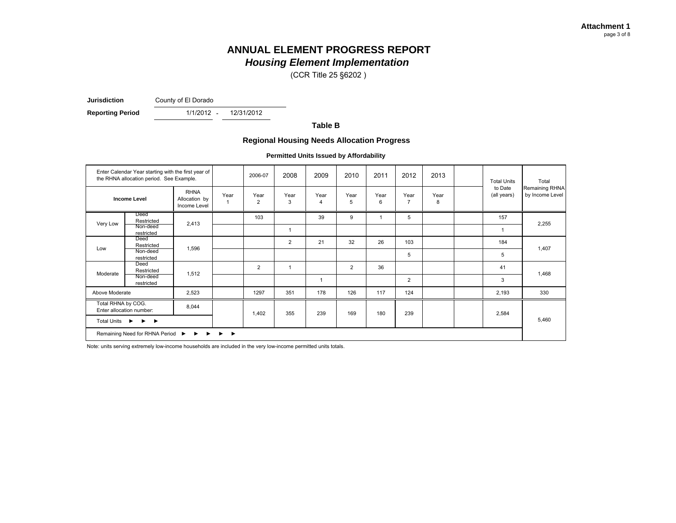(CCR Title 25 §6202 )

**Jurisdiction**County of El Dorado

**Reporting Period** 1/1/2012 - 12/31/2012

**Table B**

#### **Regional Housing Needs Allocation Progress**

**Permitted Units Issued by Affordability**

| Enter Calendar Year starting with the first year of<br>the RHNA allocation period. See Example.                     |                        |                                              |            | 2006-07                | 2008           | 2009                   | 2010           | 2011      | 2012                   | 2013      | <b>Total Units</b>     | Total                             |
|---------------------------------------------------------------------------------------------------------------------|------------------------|----------------------------------------------|------------|------------------------|----------------|------------------------|----------------|-----------|------------------------|-----------|------------------------|-----------------------------------|
| <b>Income Level</b>                                                                                                 |                        | <b>RHNA</b><br>Allocation by<br>Income Level | Year<br>-1 | Year<br>$\overline{2}$ | Year<br>3      | Year<br>$\overline{4}$ | Year<br>5      | Year<br>6 | Year<br>$\overline{7}$ | Year<br>8 | to Date<br>(all years) | Remaining RHNA<br>by Income Level |
|                                                                                                                     | Deed<br>Restricted     |                                              |            | 103                    |                | 39                     | 9              |           | 5                      |           | 157                    |                                   |
| Very Low                                                                                                            | Non-deed<br>restricted | 2,413                                        |            |                        | 1              |                        |                |           |                        |           |                        | 2,255                             |
| Low                                                                                                                 | Deed<br>Restricted     | 1,596                                        |            |                        | $\overline{2}$ | 21                     | 32             | 26        | 103                    |           | 184                    |                                   |
|                                                                                                                     | Non-deed<br>restricted |                                              |            |                        |                |                        |                |           | 5                      |           | 5                      | 1,407                             |
|                                                                                                                     | Deed<br>Restricted     | 1,512                                        |            | 2                      | $\mathbf{1}$   |                        | $\overline{2}$ | 36        |                        |           | 41                     |                                   |
| Moderate                                                                                                            | Non-deed<br>restricted |                                              |            |                        |                | $\overline{1}$         |                |           | $\mathbf{2}$           |           | 3                      | 1,468                             |
| Above Moderate                                                                                                      |                        | 2,523                                        |            | 1297                   | 351            | 178                    | 126            | 117       | 124                    |           | 2,193                  | 330                               |
| Total RHNA by COG.<br>Enter allocation number:<br>Total Units ▶<br>$\rightarrow$                                    |                        | 8,044                                        |            | 1,402                  | 355            | 239                    | 169            | 180       | 239                    |           | 2,584                  |                                   |
|                                                                                                                     |                        |                                              |            |                        |                |                        |                |           |                        |           |                        | 5,460                             |
| Remaining Need for RHNA Period $\triangleright$ $\triangleright$ $\triangleright$ $\triangleright$ $\triangleright$ |                        |                                              |            |                        |                |                        |                |           |                        |           |                        |                                   |

Note: units serving extremely low-income households are included in the very low-income permitted units totals.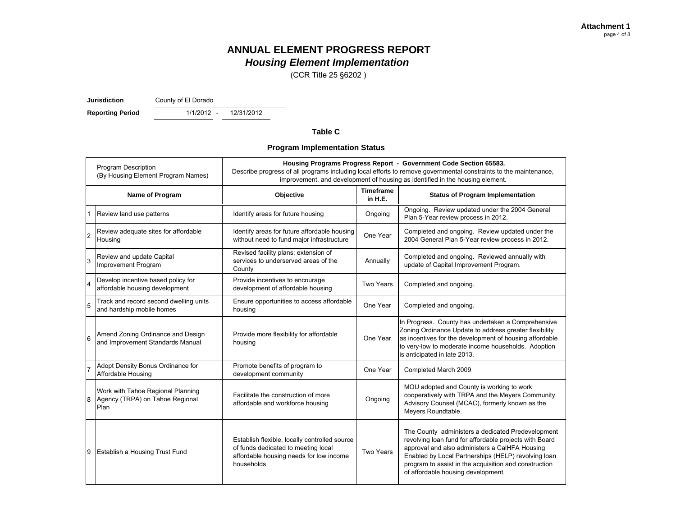(CCR Title 25 §6202 )

**Jurisdiction**County of El Dorado

**Reporting Period** 1/1/2012 - 12/31/2012

#### **Table C**

#### **Program Implementation Status**

|   | <b>Program Description</b><br>(By Housing Element Program Names)             | Housing Programs Progress Report - Government Code Section 65583.<br>Describe progress of all programs including local efforts to remove governmental constraints to the maintenance,<br>improvement, and development of housing as identified in the housing element. |                             |                                                                                                                                                                                                                                                                                                                     |  |  |  |
|---|------------------------------------------------------------------------------|------------------------------------------------------------------------------------------------------------------------------------------------------------------------------------------------------------------------------------------------------------------------|-----------------------------|---------------------------------------------------------------------------------------------------------------------------------------------------------------------------------------------------------------------------------------------------------------------------------------------------------------------|--|--|--|
|   | Name of Program                                                              | Objective                                                                                                                                                                                                                                                              | <b>Timeframe</b><br>in H.E. | <b>Status of Program Implementation</b>                                                                                                                                                                                                                                                                             |  |  |  |
|   | Review land use patterns                                                     | Identify areas for future housing                                                                                                                                                                                                                                      | Ongoing                     | Ongoing. Review updated under the 2004 General<br>Plan 5-Year review process in 2012.                                                                                                                                                                                                                               |  |  |  |
|   | Review adequate sites for affordable<br>Housing                              | Identify areas for future affordable housing<br>without need to fund major infrastructure                                                                                                                                                                              | One Year                    | Completed and ongoing. Review updated under the<br>2004 General Plan 5-Year review process in 2012.                                                                                                                                                                                                                 |  |  |  |
| 3 | Review and update Capital<br>Improvement Program                             | Revised facility plans; extension of<br>services to underserved areas of the<br>County                                                                                                                                                                                 | Annually                    | Completed and ongoing. Reviewed annually with<br>update of Capital Improvement Program.                                                                                                                                                                                                                             |  |  |  |
|   | Develop incentive based policy for<br>affordable housing development         | Provide incentives to encourage<br>development of affordable housing                                                                                                                                                                                                   | Two Years                   | Completed and ongoing.                                                                                                                                                                                                                                                                                              |  |  |  |
| 5 | Track and record second dwelling units<br>and hardship mobile homes          | Ensure opportunities to access affordable<br>housing                                                                                                                                                                                                                   | One Year                    | Completed and ongoing.                                                                                                                                                                                                                                                                                              |  |  |  |
| 6 | Amend Zoning Ordinance and Design<br>and Improvement Standards Manual        | Provide more flexibility for affordable<br>housing                                                                                                                                                                                                                     | One Year                    | In Progress. County has undertaken a Comprehensive<br>Zoning Ordinance Update to address greater flexibility<br>as incentives for the development of housing affordable<br>to very-low to moderate income households. Adoption<br>is anticipated in late 2013.                                                      |  |  |  |
|   | Adopt Density Bonus Ordinance for<br>Affordable Housing                      | Promote benefits of program to<br>development community                                                                                                                                                                                                                | One Year                    | Completed March 2009                                                                                                                                                                                                                                                                                                |  |  |  |
| 8 | Work with Tahoe Regional Planning<br>Agency (TRPA) on Tahoe Regional<br>Plan | Facilitate the construction of more<br>affordable and workforce housing                                                                                                                                                                                                | Ongoing                     | MOU adopted and County is working to work<br>cooperatively with TRPA and the Meyers Community<br>Advisory Counsel (MCAC), formerly known as the<br>Meyers Roundtable.                                                                                                                                               |  |  |  |
|   | Establish a Housing Trust Fund                                               | Establish flexible, locally controlled source<br>of funds dedicated to meeting local<br>affordable housing needs for low income<br>households                                                                                                                          | Two Years                   | The County administers a dedicated Predevelopment<br>revolving loan fund for affordable projects with Board<br>approval and also administers a CalHFA Housing<br>Enabled by Local Partnerships (HELP) revolving loan<br>program to assist in the acquisition and construction<br>of affordable housing development. |  |  |  |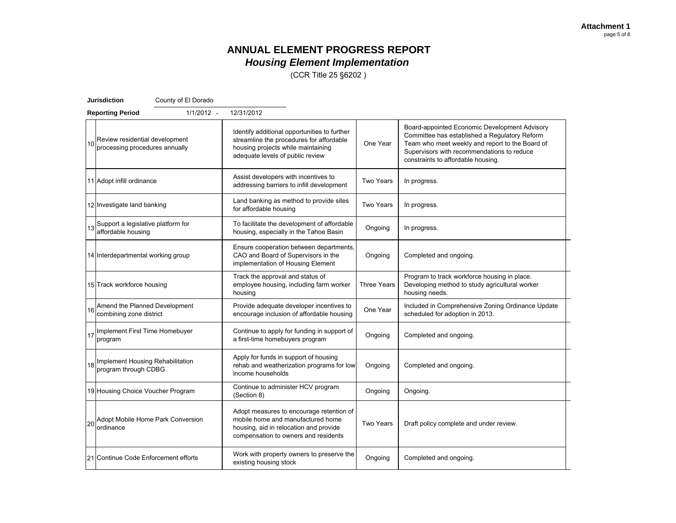(CCR Title 25 §6202 )

|    | <b>Jurisdiction</b>                                                    | County of El Dorado |                                                                                                                                                                    |                    |                                                                                                                                                                                                                                       |
|----|------------------------------------------------------------------------|---------------------|--------------------------------------------------------------------------------------------------------------------------------------------------------------------|--------------------|---------------------------------------------------------------------------------------------------------------------------------------------------------------------------------------------------------------------------------------|
|    | <b>Reporting Period</b>                                                | $1/1/2012 -$        | 12/31/2012                                                                                                                                                         |                    |                                                                                                                                                                                                                                       |
|    | 10 Review residential development<br>10 processing procedures annually |                     | Identify additional opportunities to further<br>streamline the procedures for affordable<br>housing projects while maintaining<br>adequate levels of public review | One Year           | Board-appointed Economic Development Advisory<br>Committee has established a Regulatory Reform<br>Team who meet weekly and report to the Board of<br>Supervisors with recommendations to reduce<br>constraints to affordable housing. |
|    | 11 Adopt infill ordinance                                              |                     | Assist developers with incentives to<br>addressing barriers to infill development                                                                                  | Two Years          | In progress.                                                                                                                                                                                                                          |
|    | 12 Investigate land banking                                            |                     | Land banking as method to provide sites<br>for affordable housing                                                                                                  | <b>Two Years</b>   | In progress.                                                                                                                                                                                                                          |
|    | Support a legislative platform for<br>affordable housing               |                     | To facilitate the development of affordable<br>housing, especially in the Tahoe Basin                                                                              | Ongoing            | In progress.                                                                                                                                                                                                                          |
|    | 14 Interdepartmental working group                                     |                     | Ensure cooperation between departments,<br>CAO and Board of Supervisors in the<br>implementation of Housing Element                                                | Ongoing            | Completed and ongoing.                                                                                                                                                                                                                |
|    | 15 Track workforce housing                                             |                     | Track the approval and status of<br>employee housing, including farm worker<br>housing                                                                             | <b>Three Years</b> | Program to track workforce housing in place.<br>Developing method to study agricultural worker<br>housing needs.                                                                                                                      |
| 16 | Amend the Planned Development<br>combining zone district               |                     | Provide adequate developer incentives to<br>encourage inclusion of affordable housing                                                                              | One Year           | Included in Comprehensive Zoning Ordinance Update<br>scheduled for adoption in 2013.                                                                                                                                                  |
| 17 | Implement First Time Homebuyer<br>program                              |                     | Continue to apply for funding in support of<br>a first-time homebuyers program                                                                                     | Ongoing            | Completed and ongoing.                                                                                                                                                                                                                |
| 18 | Implement Housing Rehabilitation<br>program through CDBG               |                     | Apply for funds in support of housing<br>rehab and weatherization programs for low<br>income households                                                            | Ongoing            | Completed and ongoing.                                                                                                                                                                                                                |
|    | 19 Housing Choice Voucher Program                                      |                     | Continue to administer HCV program<br>(Section 8)                                                                                                                  | Ongoing            | Ongoing.                                                                                                                                                                                                                              |
| 20 | Adopt Mobile Home Park Conversion<br>ordinance                         |                     | Adopt measures to encourage retention of<br>mobile home and manufactured home<br>housing, aid in relocation and provide<br>compensation to owners and residents    | <b>Two Years</b>   | Draft policy complete and under review.                                                                                                                                                                                               |
|    | 21 Continue Code Enforcement efforts                                   |                     | Work with property owners to preserve the<br>existing housing stock                                                                                                | Ongoing            | Completed and ongoing.                                                                                                                                                                                                                |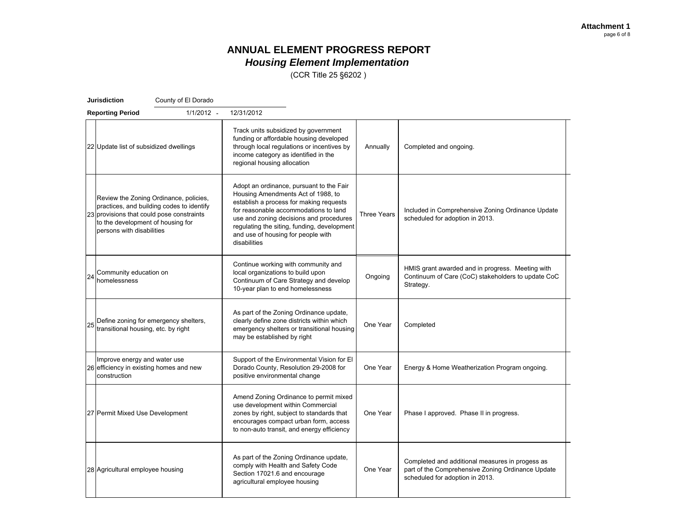(CCR Title 25 §6202 )

|    | <b>Jurisdiction</b>                                                                                         | County of El Dorado                                                                 |                                                                                                                                                                                                                                                                                                                    |             |                                                                                                                                         |
|----|-------------------------------------------------------------------------------------------------------------|-------------------------------------------------------------------------------------|--------------------------------------------------------------------------------------------------------------------------------------------------------------------------------------------------------------------------------------------------------------------------------------------------------------------|-------------|-----------------------------------------------------------------------------------------------------------------------------------------|
|    | <b>Reporting Period</b>                                                                                     | $1/1/2012 -$                                                                        | 12/31/2012                                                                                                                                                                                                                                                                                                         |             |                                                                                                                                         |
|    | 22 Update list of subsidized dwellings                                                                      |                                                                                     | Track units subsidized by government<br>funding or affordable housing developed<br>through local regulations or incentives by<br>income category as identified in the<br>regional housing allocation                                                                                                               | Annually    | Completed and ongoing.                                                                                                                  |
|    | 23 provisions that could pose constraints<br>to the development of housing for<br>persons with disabilities | Review the Zoning Ordinance, policies,<br>practices, and building codes to identify | Adopt an ordinance, pursuant to the Fair<br>Housing Amendments Act of 1988, to<br>establish a process for making requests<br>for reasonable accommodations to land<br>use and zoning decisions and procedures<br>regulating the siting, funding, development<br>and use of housing for people with<br>disabilities | Three Years | Included in Comprehensive Zoning Ordinance Update<br>scheduled for adoption in 2013.                                                    |
| 24 | Community education on<br>homelessness                                                                      |                                                                                     | Continue working with community and<br>local organizations to build upon<br>Continuum of Care Strategy and develop<br>10-year plan to end homelessness                                                                                                                                                             | Ongoing     | HMIS grant awarded and in progress. Meeting with<br>Continuum of Care (CoC) stakeholders to update CoC<br>Strategy.                     |
| 25 | Define zoning for emergency shelters,<br>transitional housing, etc. by right                                |                                                                                     | As part of the Zoning Ordinance update,<br>clearly define zone districts within which<br>emergency shelters or transitional housing<br>may be established by right                                                                                                                                                 | One Year    | Completed                                                                                                                               |
|    | Improve energy and water use<br>26 efficiency in existing homes and new<br>construction                     |                                                                                     | Support of the Environmental Vision for El<br>Dorado County, Resolution 29-2008 for<br>positive environmental change                                                                                                                                                                                               | One Year    | Energy & Home Weatherization Program ongoing.                                                                                           |
|    | 27 Permit Mixed Use Development                                                                             |                                                                                     | Amend Zoning Ordinance to permit mixed<br>use development within Commercial<br>zones by right, subject to standards that<br>encourages compact urban form, access<br>to non-auto transit, and energy efficiency                                                                                                    | One Year    | Phase I approved. Phase II in progress.                                                                                                 |
|    | 28 Agricultural employee housing                                                                            |                                                                                     | As part of the Zoning Ordinance update,<br>comply with Health and Safety Code<br>Section 17021.6 and encourage<br>agricultural employee housing                                                                                                                                                                    | One Year    | Completed and additional measures in progess as<br>part of the Comprehensive Zoning Ordinance Update<br>scheduled for adoption in 2013. |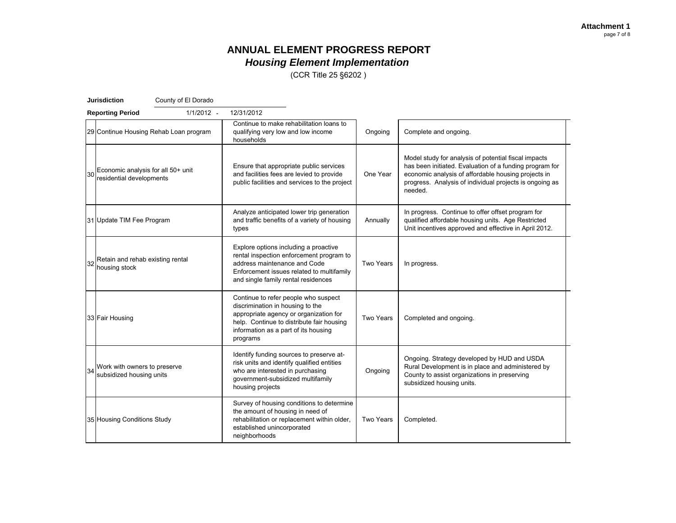(CCR Title 25 §6202 )

|    | <b>Jurisdiction</b><br>County of El Dorado                     |                                                                                                                                                                                                                     |                  |                                                                                                                                                                                                                                              |
|----|----------------------------------------------------------------|---------------------------------------------------------------------------------------------------------------------------------------------------------------------------------------------------------------------|------------------|----------------------------------------------------------------------------------------------------------------------------------------------------------------------------------------------------------------------------------------------|
|    | 1/1/2012 -<br><b>Reporting Period</b>                          | 12/31/2012                                                                                                                                                                                                          |                  |                                                                                                                                                                                                                                              |
|    | 29 Continue Housing Rehab Loan program                         | Continue to make rehabilitation loans to<br>qualifying very low and low income<br>households                                                                                                                        | Ongoing          | Complete and ongoing.                                                                                                                                                                                                                        |
|    | Economic analysis for all 50+ unit<br>residential developments | Ensure that appropriate public services<br>and facilities fees are levied to provide<br>public facilities and services to the project                                                                               | One Year         | Model study for analysis of potential fiscal impacts<br>has been initiated. Evaluation of a funding program for<br>economic analysis of affordable housing projects in<br>progress. Analysis of individual projects is ongoing as<br>needed. |
|    | 31 Update TIM Fee Program                                      | Analyze anticipated lower trip generation<br>and traffic benefits of a variety of housing<br>types                                                                                                                  | Annually         | In progress. Continue to offer offset program for<br>qualified affordable housing units. Age Restricted<br>Unit incentives approved and effective in April 2012.                                                                             |
| 32 | Retain and rehab existing rental<br>housing stock              | Explore options including a proactive<br>rental inspection enforcement program to<br>address maintenance and Code<br>Enforcement issues related to multifamily<br>and single family rental residences               | <b>Two Years</b> | In progress.                                                                                                                                                                                                                                 |
|    | 33 Fair Housing                                                | Continue to refer people who suspect<br>discrimination in housing to the<br>appropriate agency or organization for<br>help. Continue to distribute fair housing<br>information as a part of its housing<br>programs | <b>Two Years</b> | Completed and ongoing.                                                                                                                                                                                                                       |
| 34 | Work with owners to preserve<br>subsidized housing units       | Identify funding sources to preserve at-<br>risk units and identify qualified entities<br>who are interested in purchasing<br>government-subsidized multifamily<br>housing projects                                 | Ongoing          | Ongoing. Strategy developed by HUD and USDA<br>Rural Development is in place and administered by<br>County to assist organizations in preserving<br>subsidized housing units.                                                                |
|    | 35 Housing Conditions Study                                    | Survey of housing conditions to determine<br>the amount of housing in need of<br>rehabilitation or replacement within older,<br>established unincorporated<br>neighborhoods                                         | Two Years        | Completed.                                                                                                                                                                                                                                   |